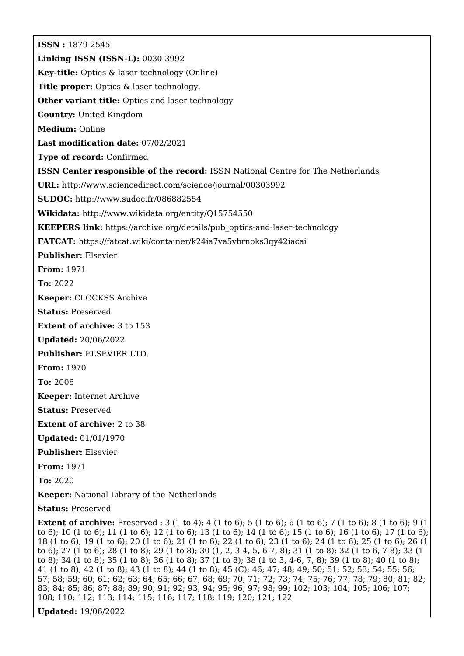**ISSN :** 1879-2545 **Linking ISSN (ISSN-L):** 0030-3992 **Key-title:** Optics & laser technology (Online) **Title proper:** Optics & laser technology. **Other variant title:** Optics and laser technology **Country:** United Kingdom **Medium:** Online **Last modification date:** 07/02/2021 **Type of record:** Confirmed **ISSN Center responsible of the record:** ISSN National Centre for The Netherlands **URL:** <http://www.sciencedirect.com/science/journal/00303992> **SUDOC:** <http://www.sudoc.fr/086882554> **Wikidata:** <http://www.wikidata.org/entity/Q15754550> **KEEPERS link:** [https://archive.org/details/pub\\_optics-and-laser-technology](https://archive.org/details/pub_optics-and-laser-technology) **FATCAT:** <https://fatcat.wiki/container/k24ia7va5vbrnoks3qy42iacai> **Publisher:** Elsevier **From:** 1971 **To:** 2022 **Keeper:** CLOCKSS Archive **Status:** Preserved **Extent of archive:** 3 to 153 **Updated:** 20/06/2022 **Publisher:** ELSEVIER LTD. **From:** 1970 **To:** 2006 **Keeper:** Internet Archive **Status:** Preserved **Extent of archive:** 2 to 38 **Updated:** 01/01/1970 **Publisher:** Elsevier **From:** 1971 **To:** 2020 **Keeper:** National Library of the Netherlands **Status:** Preserved

**Extent of archive:** Preserved : 3 (1 to 4); 4 (1 to 6); 5 (1 to 6); 6 (1 to 6); 7 (1 to 6); 8 (1 to 6); 9 (1 to 6); 10 (1 to 6); 11 (1 to 6); 12 (1 to 6); 13 (1 to 6); 14 (1 to 6); 15 (1 to 6); 16 (1 to 6); 17 (1 to 6); 18 (1 to 6); 19 (1 to 6); 20 (1 to 6); 21 (1 to 6); 22 (1 to 6); 23 (1 to 6); 24 (1 to 6); 25 (1 to 6); 26 (1 to 6); 27 (1 to 6); 28 (1 to 8); 29 (1 to 8); 30 (1, 2, 3-4, 5, 6-7, 8); 31 (1 to 8); 32 (1 to 6, 7-8); 33 (1 to 8); 34 (1 to 8); 35 (1 to 8); 36 (1 to 8); 37 (1 to 8); 38 (1 to 3, 4-6, 7, 8); 39 (1 to 8); 40 (1 to 8); 41 (1 to 8); 42 (1 to 8); 43 (1 to 8); 44 (1 to 8); 45 (C); 46; 47; 48; 49; 50; 51; 52; 53; 54; 55; 56; 57; 58; 59; 60; 61; 62; 63; 64; 65; 66; 67; 68; 69; 70; 71; 72; 73; 74; 75; 76; 77; 78; 79; 80; 81; 82; 83; 84; 85; 86; 87; 88; 89; 90; 91; 92; 93; 94; 95; 96; 97; 98; 99; 102; 103; 104; 105; 106; 107; 108; 110; 112; 113; 114; 115; 116; 117; 118; 119; 120; 121; 122

**Updated:** 19/06/2022